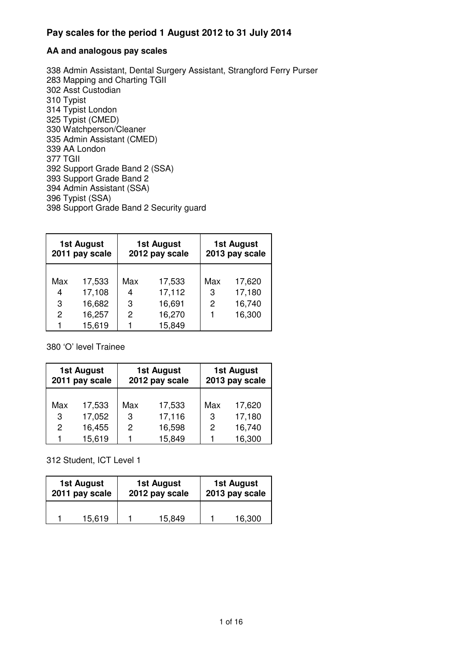#### **AA and analogous pay scales**

338 Admin Assistant, Dental Surgery Assistant, Strangford Ferry Purser 283 Mapping and Charting TGII 302 Asst Custodian 310 Typist 314 Typist London 325 Typist (CMED) 330 Watchperson/Cleaner 335 Admin Assistant (CMED) 339 AA London 377 TGII 392 Support Grade Band 2 (SSA) 393 Support Grade Band 2 394 Admin Assistant (SSA) 396 Typist (SSA) 398 Support Grade Band 2 Security guard

| 1st August<br>2011 pay scale |                  | <b>1st August</b><br>2012 pay scale |                  |          | <b>1st August</b><br>2013 pay scale |  |
|------------------------------|------------------|-------------------------------------|------------------|----------|-------------------------------------|--|
| Max<br>4                     | 17,533<br>17,108 | Max<br>4                            | 17,533<br>17,112 | Max<br>3 | 17,620<br>17,180                    |  |
| 3                            | 16,682           | 3                                   | 16,691           | 2        | 16,740                              |  |
| 2                            | 16,257           | 2                                   | 16,270           |          | 16,300                              |  |
|                              | 15,619           |                                     | 15,849           |          |                                     |  |

380 'O' level Trainee

| <b>1st August</b><br>2011 pay scale |        | 1st August<br>2012 pay scale |        | <b>1st August</b><br>2013 pay scale |        |
|-------------------------------------|--------|------------------------------|--------|-------------------------------------|--------|
| Max                                 | 17,533 | Max                          | 17,533 | Max                                 | 17,620 |
| 3                                   | 17,052 | 3                            | 17,116 | 3                                   | 17,180 |
| $\mathcal{P}$                       | 16,455 | 2                            | 16,598 | 2                                   | 16,740 |
|                                     | 15,619 |                              | 15,849 |                                     | 16,300 |

312 Student, ICT Level 1

| <b>1st August</b> |  | 1st August     |        | 1st August     |        |
|-------------------|--|----------------|--------|----------------|--------|
| 2011 pay scale    |  | 2012 pay scale |        | 2013 pay scale |        |
| 15,619            |  |                | 15,849 |                | 16,300 |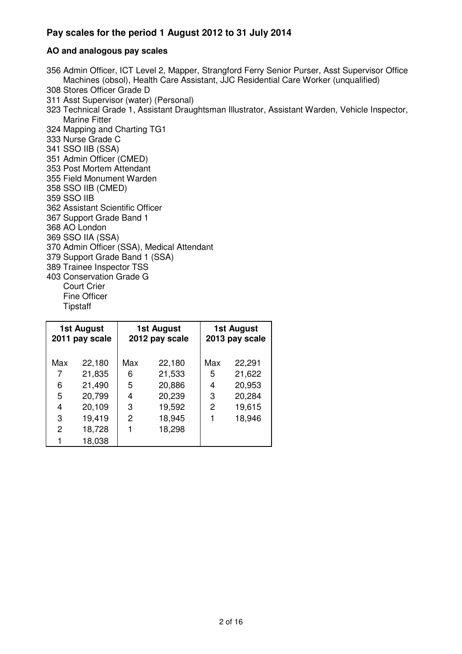#### **AO and analogous pay scales**

- 356 Admin Officer, ICT Level 2, Mapper, Strangford Ferry Senior Purser, Asst Supervisor Office Machines (obsol), Health Care Assistant, JJC Residential Care Worker (unqualified)
- 308 Stores Officer Grade D
- 311 Asst Supervisor (water) (Personal)
- 323 Technical Grade 1, Assistant Draughtsman Illustrator, Assistant Warden, Vehicle Inspector, Marine Fitter
- 324 Mapping and Charting TG1
- 333 Nurse Grade C
- 341 SSO IIB (SSA)
- 351 Admin Officer (CMED)
- 353 Post Mortem Attendant
- 355 Field Monument Warden
- 358 SSO IIB (CMED)
- 359 SSO IIB
- 362 Assistant Scientific Officer
- 367 Support Grade Band 1
- 368 AO London
- 369 SSO IIA (SSA)
- 370 Admin Officer (SSA), Medical Attendant
- 379 Support Grade Band 1 (SSA)
- 389 Trainee Inspector TSS
- 403 Conservation Grade G
	- Court Crier
	- Fine Officer
	- **Tipstaff**

| 1st August<br>2011 pay scale |        | <b>1st August</b><br>2012 pay scale |        | <b>1st August</b><br>2013 pay scale |        |
|------------------------------|--------|-------------------------------------|--------|-------------------------------------|--------|
| Max                          | 22,180 | Max                                 | 22,180 | Max                                 | 22,291 |
| 7                            | 21,835 | 6                                   | 21,533 | 5                                   | 21,622 |
| 6                            | 21,490 | 5                                   | 20,886 | 4                                   | 20,953 |
| 5                            | 20,799 | 4                                   | 20,239 | 3                                   | 20,284 |
| 4                            | 20,109 | 3                                   | 19,592 | 2                                   | 19,615 |
| 3                            | 19,419 | $\overline{c}$                      | 18,945 | 1                                   | 18,946 |
| $\overline{c}$               | 18,728 |                                     | 18,298 |                                     |        |
| 1                            | 18,038 |                                     |        |                                     |        |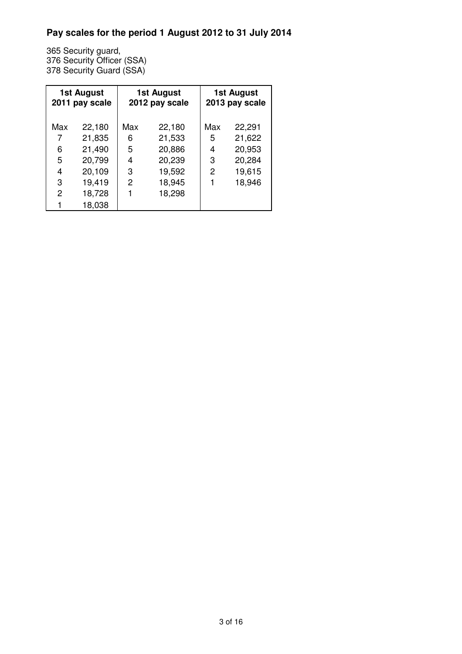365 Security guard, 376 Security Officer (SSA) 378 Security Guard (SSA)

| 1st August<br>2011 pay scale |        | 1st August<br>2012 pay scale |        | 1st August<br>2013 pay scale |        |
|------------------------------|--------|------------------------------|--------|------------------------------|--------|
| Max                          | 22,180 | Max                          | 22,180 | Max                          | 22,291 |
| 7                            | 21,835 | 6                            | 21,533 | 5                            | 21,622 |
| 6                            | 21,490 | 5                            | 20,886 | 4                            | 20,953 |
| 5                            | 20,799 | 4                            | 20,239 | 3                            | 20,284 |
| 4                            | 20,109 | 3                            | 19,592 | 2                            | 19,615 |
| 3                            | 19,419 | 2                            | 18,945 |                              | 18,946 |
| $\mathcal{P}$                | 18,728 |                              | 18,298 |                              |        |
|                              | 18,038 |                              |        |                              |        |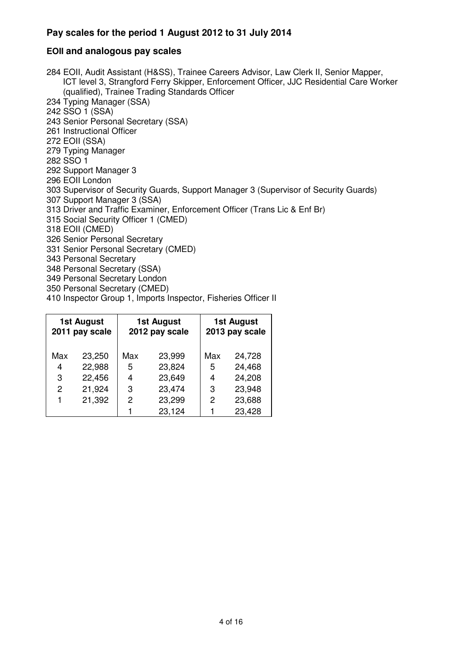### **EOII and analogous pay scales**

284 EOII, Audit Assistant (H&SS), Trainee Careers Advisor, Law Clerk II, Senior Mapper, ICT level 3, Strangford Ferry Skipper, Enforcement Officer, JJC Residential Care Worker (qualified), Trainee Trading Standards Officer 234 Typing Manager (SSA) 242 SSO 1 (SSA) 243 Senior Personal Secretary (SSA) 261 Instructional Officer 272 EOII (SSA) 279 Typing Manager 282 SSO 1 292 Support Manager 3 296 EOII London 303 Supervisor of Security Guards, Support Manager 3 (Supervisor of Security Guards) 307 Support Manager 3 (SSA) 313 Driver and Traffic Examiner, Enforcement Officer (Trans Lic & Enf Br) 315 Social Security Officer 1 (CMED) 318 EOII (CMED) 326 Senior Personal Secretary 331 Senior Personal Secretary (CMED) 343 Personal Secretary 348 Personal Secretary (SSA) 349 Personal Secretary London 350 Personal Secretary (CMED)

410 Inspector Group 1, Imports Inspector, Fisheries Officer II

| <b>1st August</b><br>2011 pay scale |        | <b>1st August</b><br>2012 pay scale |        | <b>1st August</b><br>2013 pay scale |        |
|-------------------------------------|--------|-------------------------------------|--------|-------------------------------------|--------|
| Max                                 | 23,250 | Max                                 | 23,999 | Max                                 | 24,728 |
| 4                                   | 22,988 | 5                                   | 23,824 | 5                                   | 24,468 |
| 3                                   | 22,456 | 4                                   | 23,649 | 4                                   | 24,208 |
| 2                                   | 21,924 | 3                                   | 23,474 | 3                                   | 23,948 |
|                                     | 21,392 | 2                                   | 23,299 | 2                                   | 23,688 |
|                                     |        |                                     | 23,124 |                                     | 23,428 |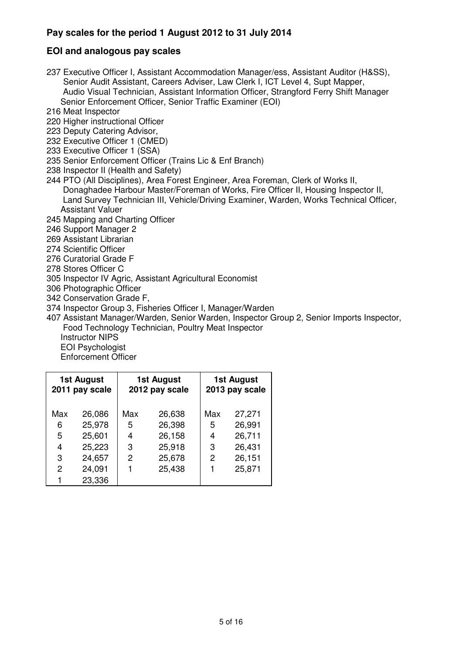## **EOI and analogous pay scales**

- 237 Executive Officer I, Assistant Accommodation Manager/ess, Assistant Auditor (H&SS), Senior Audit Assistant, Careers Adviser, Law Clerk I, ICT Level 4, Supt Mapper, Audio Visual Technician, Assistant Information Officer, Strangford Ferry Shift Manager Senior Enforcement Officer, Senior Traffic Examiner (EOI)
- 216 Meat Inspector
- 220 Higher instructional Officer
- 223 Deputy Catering Advisor,
- 232 Executive Officer 1 (CMED)
- 233 Executive Officer 1 (SSA)
- 235 Senior Enforcement Officer (Trains Lic & Enf Branch)
- 238 Inspector II (Health and Safety)
- 244 PTO (All Disciplines), Area Forest Engineer, Area Foreman, Clerk of Works II, Donaghadee Harbour Master/Foreman of Works, Fire Officer II, Housing Inspector II, Land Survey Technician III, Vehicle/Driving Examiner, Warden, Works Technical Officer, Assistant Valuer
- 245 Mapping and Charting Officer
- 246 Support Manager 2
- 269 Assistant Librarian
- 274 Scientific Officer
- 276 Curatorial Grade F
- 278 Stores Officer C
- 305 Inspector IV Agric, Assistant Agricultural Economist
- 306 Photographic Officer
- 342 Conservation Grade F,
- 374 Inspector Group 3, Fisheries Officer I, Manager/Warden
- 407 Assistant Manager/Warden, Senior Warden, Inspector Group 2, Senior Imports Inspector, Food Technology Technician, Poultry Meat Inspector Instructor NIPS
	- EOI Psychologist
	- Enforcement Officer

**1st August 2011 pay scale 1st August 2012 pay scale 1st August 2013 pay scale**  Max 26,086 Max 26,638 Max 27,271 6 25,978 5 26,398 5 26,991 5 25,601 4 26,158 4 26,711 4 25,223 3 25,918 3 26,431 3 24,657 2 25,678 2 26,151 2 24,091 1 25,438 1 25,871 1 23,336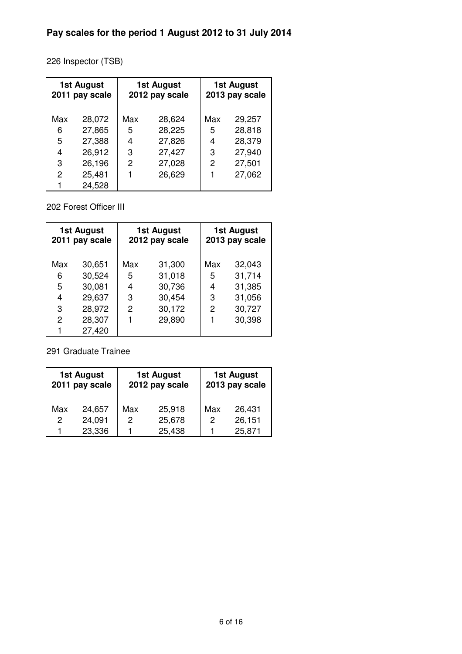226 Inspector (TSB)

| <b>1st August</b><br>2011 pay scale |        | 1st August<br>2012 pay scale |        | <b>1st August</b><br>2013 pay scale |        |
|-------------------------------------|--------|------------------------------|--------|-------------------------------------|--------|
| Max                                 | 28,072 | Max                          | 28,624 | Max                                 | 29,257 |
| 6                                   | 27,865 | 5                            | 28,225 | 5                                   | 28,818 |
| 5                                   | 27,388 | 4                            | 27,826 | 4                                   | 28,379 |
| 4                                   | 26,912 | 3                            | 27,427 | 3                                   | 27,940 |
| 3                                   | 26,196 | $\overline{c}$               | 27,028 | 2                                   | 27,501 |
| $\mathcal{P}$                       | 25,481 |                              | 26,629 |                                     | 27,062 |
| 1                                   | 24,528 |                              |        |                                     |        |

202 Forest Officer III

| <b>1st August</b><br>2011 pay scale |        | <b>1st August</b><br>2012 pay scale |        | <b>1st August</b><br>2013 pay scale |        |
|-------------------------------------|--------|-------------------------------------|--------|-------------------------------------|--------|
| Max                                 | 30,651 | Max                                 | 31,300 | Max                                 | 32,043 |
| 6                                   | 30,524 | 5                                   | 31,018 | 5                                   | 31,714 |
| 5                                   | 30,081 | 4                                   | 30,736 | 4                                   | 31,385 |
| 4                                   | 29,637 | 3                                   | 30,454 | 3                                   | 31,056 |
| 3                                   | 28,972 | 2                                   | 30,172 | 2                                   | 30,727 |
| $\mathbf{2}$                        | 28,307 |                                     | 29,890 |                                     | 30,398 |
| 1                                   | 27,420 |                                     |        |                                     |        |

291 Graduate Trainee

| <b>1st August</b><br>2011 pay scale |        | <b>1st August</b><br>2012 pay scale |        | 1st August<br>2013 pay scale |        |
|-------------------------------------|--------|-------------------------------------|--------|------------------------------|--------|
| Max                                 | 24,657 | Max                                 | 25,918 | Max                          | 26,431 |
| $\overline{2}$                      | 24,091 | 2                                   | 25,678 | 2                            | 26,151 |
|                                     | 23,336 |                                     | 25,438 |                              | 25,871 |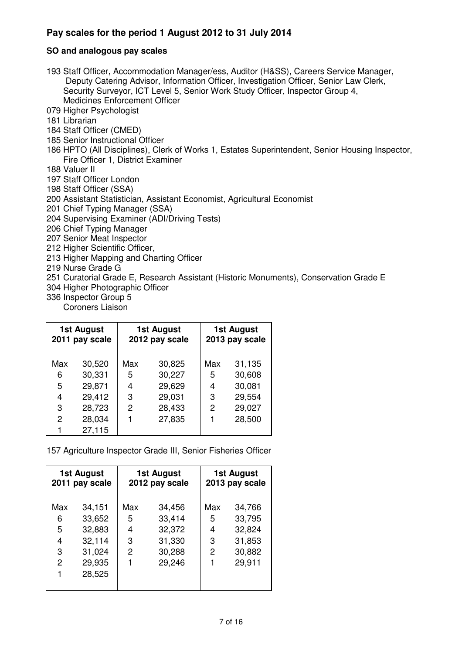#### **SO and analogous pay scales**

193 Staff Officer, Accommodation Manager/ess, Auditor (H&SS), Careers Service Manager, Deputy Catering Advisor, Information Officer, Investigation Officer, Senior Law Clerk, Security Surveyor, ICT Level 5, Senior Work Study Officer, Inspector Group 4, Medicines Enforcement Officer

079 Higher Psychologist

- 181 Librarian
- 184 Staff Officer (CMED)
- 185 Senior Instructional Officer
- 186 HPTO (All Disciplines), Clerk of Works 1, Estates Superintendent, Senior Housing Inspector, Fire Officer 1, District Examiner
- 188 Valuer II
- 197 Staff Officer London
- 198 Staff Officer (SSA)
- 200 Assistant Statistician, Assistant Economist, Agricultural Economist
- 201 Chief Typing Manager (SSA)
- 204 Supervising Examiner (ADI/Driving Tests)
- 206 Chief Typing Manager
- 207 Senior Meat Inspector
- 212 Higher Scientific Officer,
- 213 Higher Mapping and Charting Officer
- 219 Nurse Grade G
- 251 Curatorial Grade E, Research Assistant (Historic Monuments), Conservation Grade E
- 304 Higher Photographic Officer
- 336 Inspector Group 5
	- Coroners Liaison

| <b>1st August</b><br>2011 pay scale |        | <b>1st August</b><br>2012 pay scale |        | 1st August<br>2013 pay scale |        |
|-------------------------------------|--------|-------------------------------------|--------|------------------------------|--------|
| Max                                 | 30,520 | Max                                 | 30,825 | Max                          | 31,135 |
| 6                                   | 30,331 | 5                                   | 30,227 | 5                            | 30,608 |
| 5                                   | 29,871 | 4                                   | 29,629 | 4                            | 30,081 |
| 4                                   | 29,412 | 3                                   | 29,031 | 3                            | 29,554 |
| 3                                   | 28,723 | 2                                   | 28,433 | 2                            | 29,027 |
| 2                                   | 28,034 |                                     | 27,835 |                              | 28,500 |
|                                     | 27,115 |                                     |        |                              |        |

157 Agriculture Inspector Grade III, Senior Fisheries Officer

| 1st August<br>2011 pay scale |        | 1st August<br>2012 pay scale |        |     | 1st August<br>2013 pay scale |  |
|------------------------------|--------|------------------------------|--------|-----|------------------------------|--|
| Max                          | 34,151 | Max                          | 34,456 | Max | 34,766                       |  |
| 6                            | 33,652 | 5                            | 33,414 | 5   | 33,795                       |  |
| 5                            | 32,883 | 4                            | 32,372 | 4   | 32,824                       |  |
| 4                            | 32,114 | 3                            | 31,330 | 3   | 31,853                       |  |
| 3                            | 31,024 | $\mathbf{2}$                 | 30,288 | 2   | 30,882                       |  |
| 2                            | 29,935 | 1                            | 29,246 |     | 29,911                       |  |
| 1                            | 28,525 |                              |        |     |                              |  |
|                              |        |                              |        |     |                              |  |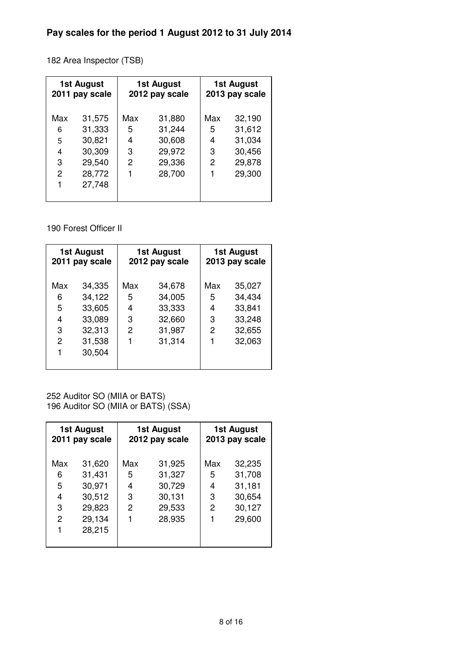182 Area Inspector (TSB)

| 1st August<br>2011 pay scale |        | <b>1st August</b><br>2012 pay scale |        | 1st August<br>2013 pay scale |        |
|------------------------------|--------|-------------------------------------|--------|------------------------------|--------|
| Max                          | 31,575 | Max                                 | 31,880 | Max                          | 32,190 |
| 6                            | 31,333 | 5                                   | 31,244 | 5                            | 31,612 |
| 5                            | 30,821 | 4                                   | 30,608 | 4                            | 31,034 |
| 4                            | 30,309 | 3                                   | 29,972 | 3                            | 30,456 |
| 3                            | 29,540 | 2                                   | 29,336 | 2                            | 29,878 |
| $\overline{2}$               | 28,772 |                                     | 28,700 |                              | 29,300 |
| 1                            | 27,748 |                                     |        |                              |        |
|                              |        |                                     |        |                              |        |

190 Forest Officer II

| 1st August<br>2011 pay scale |        | 1st August<br>2012 pay scale |        |     | 1st August<br>2013 pay scale |
|------------------------------|--------|------------------------------|--------|-----|------------------------------|
| Max                          | 34,335 | Max                          | 34,678 | Max | 35,027                       |
| 6                            | 34,122 | 5                            | 34,005 | 5   | 34,434                       |
| 5                            | 33,605 | 4                            | 33,333 | 4   | 33,841                       |
| 4                            | 33,089 | 3                            | 32,660 | 3   | 33,248                       |
| 3                            | 32,313 | 2                            | 31,987 | 2   | 32,655                       |
| 2                            | 31,538 |                              | 31,314 |     | 32,063                       |
|                              | 30,504 |                              |        |     |                              |
|                              |        |                              |        |     |                              |

252 Auditor SO (MIIA or BATS) 196 Auditor SO (MIIA or BATS) (SSA)

| 1st August<br>2011 pay scale |        | 1st August<br>2012 pay scale |        | <b>1st August</b><br>2013 pay scale |        |
|------------------------------|--------|------------------------------|--------|-------------------------------------|--------|
| Max                          | 31,620 | Max                          | 31,925 | Max                                 | 32,235 |
| 6                            | 31,431 | 5                            | 31,327 | 5                                   | 31,708 |
| 5                            | 30,971 | 4                            | 30,729 | 4                                   | 31,181 |
| 4                            | 30,512 | 3                            | 30,131 | 3                                   | 30,654 |
| 3                            | 29,823 | $\overline{c}$               | 29,533 | 2                                   | 30,127 |
| $\overline{c}$               | 29,134 | 1                            | 28,935 |                                     | 29,600 |
| 1                            | 28,215 |                              |        |                                     |        |
|                              |        |                              |        |                                     |        |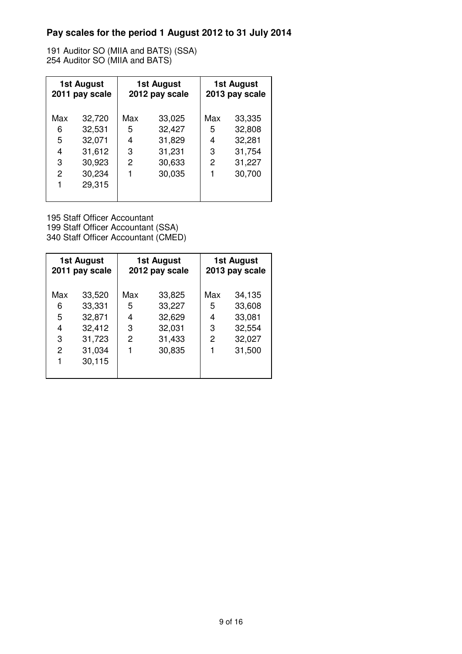191 Auditor SO (MIIA and BATS) (SSA) 254 Auditor SO (MIIA and BATS)

| 1st August<br>2011 pay scale |        | 1st August<br>2012 pay scale |        | 1st August<br>2013 pay scale |        |
|------------------------------|--------|------------------------------|--------|------------------------------|--------|
| Max                          | 32,720 | Max                          | 33,025 | Max                          | 33,335 |
| 6                            | 32,531 | 5                            | 32,427 | 5                            | 32,808 |
| 5                            | 32,071 | 4                            | 31,829 | 4                            | 32,281 |
| 4                            | 31,612 | 3                            | 31,231 | 3                            | 31,754 |
| 3                            | 30,923 | 2                            | 30,633 | 2                            | 31,227 |
| $\overline{2}$               | 30,234 | 1                            | 30,035 |                              | 30,700 |
| 1                            | 29,315 |                              |        |                              |        |
|                              |        |                              |        |                              |        |

195 Staff Officer Accountant 199 Staff Officer Accountant (SSA) 340 Staff Officer Accountant (CMED)

| 1st August<br>2011 pay scale |        | 1st August<br>2012 pay scale |        | 1st August<br>2013 pay scale |        |
|------------------------------|--------|------------------------------|--------|------------------------------|--------|
| Max                          | 33,520 | Max                          | 33,825 | Max                          | 34,135 |
| 6                            | 33,331 | 5                            | 33,227 | 5                            | 33,608 |
| 5                            | 32,871 | 4                            | 32,629 | 4                            | 33,081 |
| 4                            | 32,412 | 3                            | 32,031 | 3                            | 32,554 |
| 3                            | 31,723 | 2                            | 31,433 | 2                            | 32,027 |
| $\overline{2}$               | 31,034 | 1                            | 30,835 |                              | 31,500 |
| 1                            | 30,115 |                              |        |                              |        |
|                              |        |                              |        |                              |        |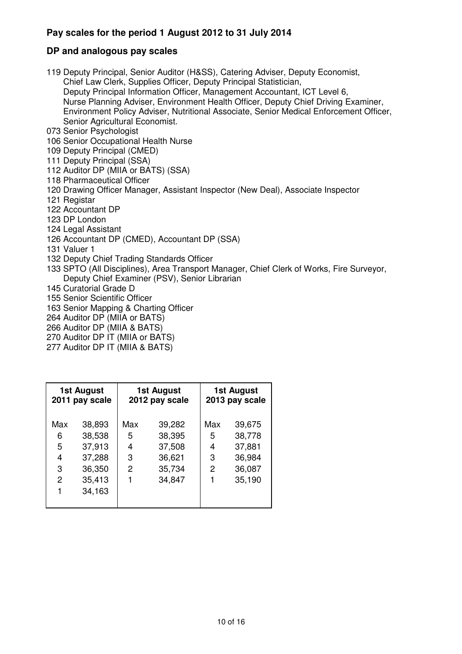### **DP and analogous pay scales**

119 Deputy Principal, Senior Auditor (H&SS), Catering Adviser, Deputy Economist, Chief Law Clerk, Supplies Officer, Deputy Principal Statistician, Deputy Principal Information Officer, Management Accountant, ICT Level 6, Nurse Planning Adviser, Environment Health Officer, Deputy Chief Driving Examiner, Environment Policy Adviser, Nutritional Associate, Senior Medical Enforcement Officer, Senior Agricultural Economist. 073 Senior Psychologist 106 Senior Occupational Health Nurse

- 
- 109 Deputy Principal (CMED)
- 111 Deputy Principal (SSA)
- 112 Auditor DP (MIIA or BATS) (SSA)
- 118 Pharmaceutical Officer
- 120 Drawing Officer Manager, Assistant Inspector (New Deal), Associate Inspector
- 121 Registar
- 122 Accountant DP
- 123 DP London
- 124 Legal Assistant
- 126 Accountant DP (CMED), Accountant DP (SSA)
- 131 Valuer 1
- 132 Deputy Chief Trading Standards Officer
- 133 SPTO (All Disciplines), Area Transport Manager, Chief Clerk of Works, Fire Surveyor, Deputy Chief Examiner (PSV), Senior Librarian
- 145 Curatorial Grade D
- 155 Senior Scientific Officer
- 163 Senior Mapping & Charting Officer
- 264 Auditor DP (MIIA or BATS)
- 266 Auditor DP (MIIA & BATS)
- 270 Auditor DP IT (MIIA or BATS)
- 277 Auditor DP IT (MIIA & BATS)

|                | 1st August<br>2011 pay scale |     | 1st August<br>2012 pay scale |     | 1st August<br>2013 pay scale |
|----------------|------------------------------|-----|------------------------------|-----|------------------------------|
| Max            | 38,893                       | Max | 39,282                       | Max | 39,675                       |
| 6              | 38,538                       | 5   | 38,395                       | 5   | 38,778                       |
| 5              | 37,913                       | 4   | 37,508                       | 4   | 37,881                       |
| 4              | 37,288                       | 3   | 36,621                       | 3   | 36,984                       |
| 3              | 36,350                       | 2   | 35,734                       | 2   | 36,087                       |
| $\overline{c}$ | 35,413                       |     | 34,847                       |     | 35,190                       |
| 1              | 34,163                       |     |                              |     |                              |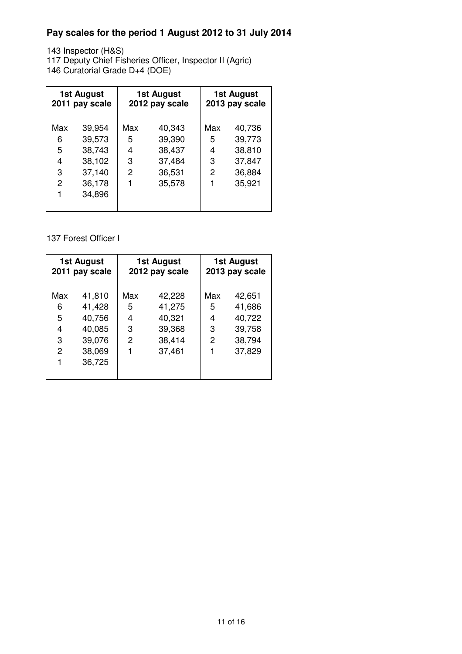143 Inspector (H&S)

117 Deputy Chief Fisheries Officer, Inspector II (Agric)

146 Curatorial Grade D+4 (DOE)

| 1st August<br>2011 pay scale |        | 1st August<br>2012 pay scale |        | 1st August<br>2013 pay scale |        |
|------------------------------|--------|------------------------------|--------|------------------------------|--------|
| Max                          | 39,954 | Max                          | 40,343 | Max                          | 40,736 |
| 6                            | 39,573 | 5                            | 39,390 | 5                            | 39,773 |
| 5                            | 38,743 | 4                            | 38,437 | 4                            | 38,810 |
| 4                            | 38,102 | 3                            | 37,484 | 3                            | 37,847 |
| 3                            | 37,140 | 2                            | 36,531 | 2                            | 36,884 |
| 2                            | 36,178 |                              | 35,578 |                              | 35,921 |
| 1                            | 34,896 |                              |        |                              |        |
|                              |        |                              |        |                              |        |

137 Forest Officer I

| <b>1st August</b><br>2011 pay scale |        | 1st August<br>2012 pay scale |        | <b>1st August</b><br>2013 pay scale |        |
|-------------------------------------|--------|------------------------------|--------|-------------------------------------|--------|
| Max                                 | 41,810 | Max                          | 42,228 | Max                                 | 42,651 |
| 6                                   | 41,428 | 5                            | 41,275 | 5                                   | 41,686 |
| 5                                   | 40,756 | 4                            | 40,321 | 4                                   | 40,722 |
| 4                                   | 40,085 | 3                            | 39,368 | 3                                   | 39,758 |
| 3                                   | 39,076 | 2                            | 38,414 | 2                                   | 38,794 |
| $\overline{2}$                      | 38,069 |                              | 37,461 |                                     | 37,829 |
| 1                                   | 36,725 |                              |        |                                     |        |
|                                     |        |                              |        |                                     |        |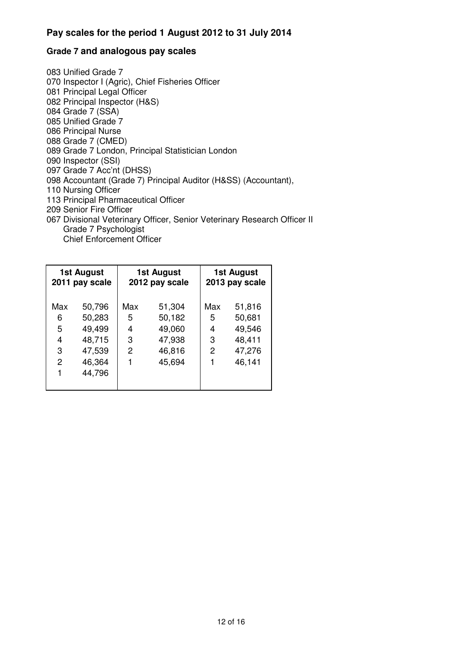#### **Grade 7 and analogous pay scales**

083 Unified Grade 7 070 Inspector I (Agric), Chief Fisheries Officer 081 Principal Legal Officer 082 Principal Inspector (H&S) 084 Grade 7 (SSA) 085 Unified Grade 7 086 Principal Nurse 088 Grade 7 (CMED) 089 Grade 7 London, Principal Statistician London 090 Inspector (SSI) 097 Grade 7 Acc'nt (DHSS) 098 Accountant (Grade 7) Principal Auditor (H&SS) (Accountant), 110 Nursing Officer 113 Principal Pharmaceutical Officer 209 Senior Fire Officer 067 Divisional Veterinary Officer, Senior Veterinary Research Officer II Grade 7 Psychologist Chief Enforcement Officer

| 1st August<br>2011 pay scale |        | 1st August<br>2012 pay scale |        | 1st August<br>2013 pay scale |        |
|------------------------------|--------|------------------------------|--------|------------------------------|--------|
| Max                          | 50,796 | Max                          | 51,304 | Max                          | 51,816 |
| 6                            | 50,283 | 5                            | 50,182 | 5                            | 50,681 |
| 5                            | 49,499 | 4                            | 49,060 | 4                            | 49,546 |
| 4                            | 48,715 | 3                            | 47,938 | 3                            | 48,411 |
| 3                            | 47,539 | 2                            | 46,816 | 2                            | 47,276 |
| $\overline{2}$               | 46,364 | 1                            | 45,694 | 1                            | 46,141 |
| 1                            | 44,796 |                              |        |                              |        |
|                              |        |                              |        |                              |        |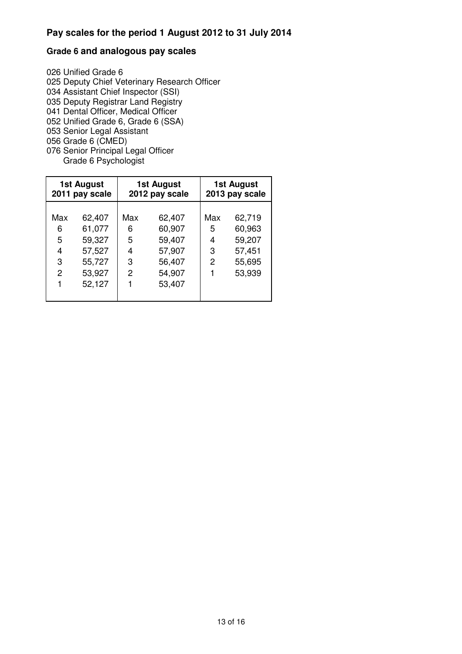### **Grade 6 and analogous pay scales**

026 Unified Grade 6 025 Deputy Chief Veterinary Research Officer 034 Assistant Chief Inspector (SSI) 035 Deputy Registrar Land Registry 041 Dental Officer, Medical Officer 052 Unified Grade 6, Grade 6 (SSA) 053 Senior Legal Assistant 056 Grade 6 (CMED) 076 Senior Principal Legal Officer

Grade 6 Psychologist

| 62,719<br>Max<br>62,407<br>62,407<br>Max<br>Max<br>61,077                                                                                                                                                 | 1st August<br>2011 pay scale |  | 1st August<br>2012 pay scale |        |   | 1st August<br>2013 pay scale |
|-----------------------------------------------------------------------------------------------------------------------------------------------------------------------------------------------------------|------------------------------|--|------------------------------|--------|---|------------------------------|
| 5<br>59,207<br>59,327<br>5<br>59,407<br>4<br>57,907<br>3<br>57,527<br>57,451<br>4<br>4<br>55,727<br>3<br>2<br>55,695<br>56,407<br>3<br>53,927<br>53,939<br>2<br>54,907<br>2<br>1<br>52,127<br>1<br>53,407 | 6                            |  | 6                            | 60,907 | 5 | 60,963                       |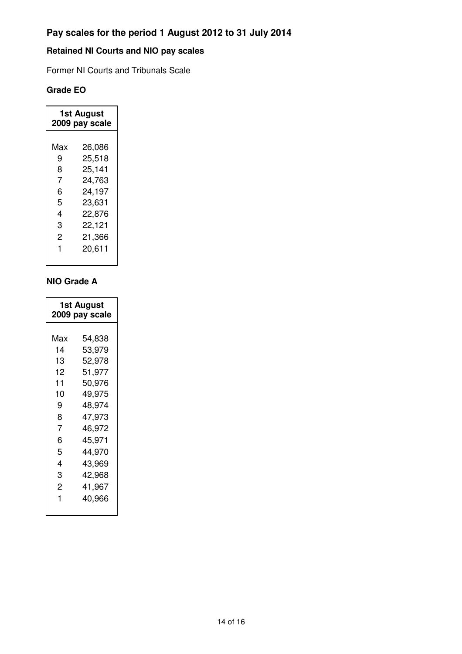# **Retained NI Courts and NIO pay scales**

Former NI Courts and Tribunals Scale

## **Grade EO**

| 1st August<br>2009 pay scale |        |  |
|------------------------------|--------|--|
|                              |        |  |
| Max                          | 26,086 |  |
| 9                            | 25,518 |  |
| 8                            | 25,141 |  |
| 7                            | 24,763 |  |
| 6                            | 24,197 |  |
| 5                            | 23,631 |  |
| 4                            | 22,876 |  |
| 3                            | 22,121 |  |
| 2                            | 21,366 |  |
| 1                            | 20,611 |  |
|                              |        |  |

### **NIO Grade A**

| <b>1st August</b><br>2009 pay scale |  |  |
|-------------------------------------|--|--|
|                                     |  |  |
| 54,838                              |  |  |
| 53,979                              |  |  |
| 52,978                              |  |  |
| 51,977                              |  |  |
| 50,976                              |  |  |
| 49,975                              |  |  |
| 48,974                              |  |  |
| 47,973                              |  |  |
| 46,972                              |  |  |
| 45,971                              |  |  |
| 44,970                              |  |  |
| 43,969                              |  |  |
| 42,968                              |  |  |
| 41,967                              |  |  |
| 40,966                              |  |  |
|                                     |  |  |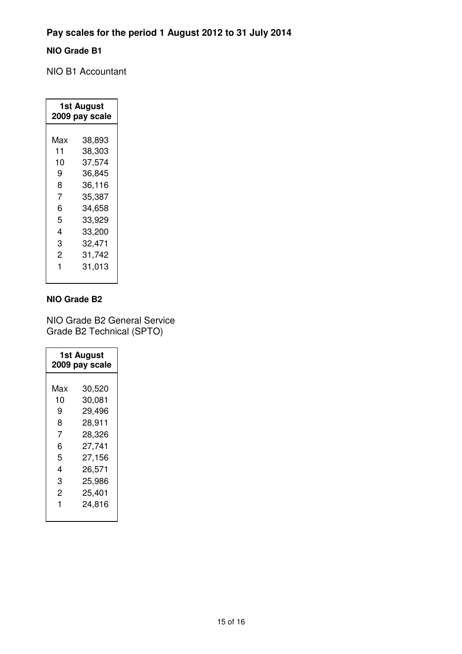# **NIO Grade B1**

NIO B1 Accountant

| 1st August<br>2009 pay scale |        |  |
|------------------------------|--------|--|
| Max                          | 38,893 |  |
|                              |        |  |
| 11                           | 38,303 |  |
| 10                           | 37,574 |  |
| 9                            | 36,845 |  |
| 8                            | 36,116 |  |
| 7                            | 35,387 |  |
| 6                            | 34,658 |  |
| 5                            | 33,929 |  |
| 4                            | 33,200 |  |
| 3                            | 32,471 |  |
| 2                            | 31,742 |  |
| 1                            | 31,013 |  |
|                              |        |  |

#### **NIO Grade B2**

NIO Grade B2 General Service Grade B2 Technical (SPTO)

| 1st August<br>2009 pay scale |        |  |
|------------------------------|--------|--|
|                              |        |  |
| Max                          | 30,520 |  |
| 10                           | 30,081 |  |
| 9                            | 29,496 |  |
| 8                            | 28,911 |  |
| 7                            | 28,326 |  |
| 6                            | 27,741 |  |
| 5                            | 27,156 |  |
| 4                            | 26,571 |  |
| 3                            | 25,986 |  |
| 2                            | 25,401 |  |
| 1                            | 24,816 |  |
|                              |        |  |